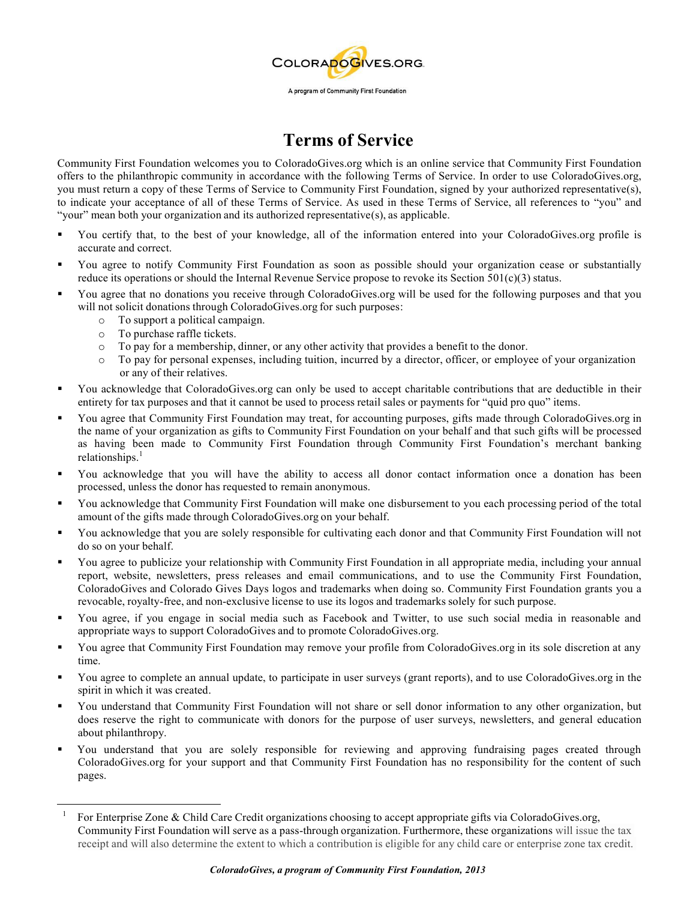

## **Terms of Service**

Community First Foundation welcomes you to ColoradoGives.org which is an online service that Community First Foundation offers to the philanthropic community in accordance with the following Terms of Service. In order to use ColoradoGives.org, you must return a copy of these Terms of Service to Community First Foundation, signed by your authorized representative(s), to indicate your acceptance of all of these Terms of Service. As used in these Terms of Service, all references to "you" and "your" mean both your organization and its authorized representative(s), as applicable.

- § You certify that, to the best of your knowledge, all of the information entered into your ColoradoGives.org profile is accurate and correct.
- § You agree to notify Community First Foundation as soon as possible should your organization cease or substantially reduce its operations or should the Internal Revenue Service propose to revoke its Section  $501(c)(3)$  status.
- § You agree that no donations you receive through ColoradoGives.org will be used for the following purposes and that you will not solicit donations through ColoradoGives.org for such purposes:
	- o To support a political campaign.
	- o To purchase raffle tickets.
	- $\circ$  To pay for a membership, dinner, or any other activity that provides a benefit to the donor.
	- o To pay for personal expenses, including tuition, incurred by a director, officer, or employee of your organization or any of their relatives.
- § You acknowledge that ColoradoGives.org can only be used to accept charitable contributions that are deductible in their entirety for tax purposes and that it cannot be used to process retail sales or payments for "quid pro quo" items.
- You agree that Community First Foundation may treat, for accounting purposes, gifts made through ColoradoGives.org in the name of your organization as gifts to Community First Foundation on your behalf and that such gifts will be processed as having been made to Community First Foundation through Community First Foundation's merchant banking relationships.<sup>1</sup>
- You acknowledge that you will have the ability to access all donor contact information once a donation has been processed, unless the donor has requested to remain anonymous.
- § You acknowledge that Community First Foundation will make one disbursement to you each processing period of the total amount of the gifts made through ColoradoGives.org on your behalf.
- § You acknowledge that you are solely responsible for cultivating each donor and that Community First Foundation will not do so on your behalf.
- § You agree to publicize your relationship with Community First Foundation in all appropriate media, including your annual report, website, newsletters, press releases and email communications, and to use the Community First Foundation, ColoradoGives and Colorado Gives Days logos and trademarks when doing so. Community First Foundation grants you a revocable, royalty-free, and non-exclusive license to use its logos and trademarks solely for such purpose.
- § You agree, if you engage in social media such as Facebook and Twitter, to use such social media in reasonable and appropriate ways to support ColoradoGives and to promote ColoradoGives.org.
- § You agree that Community First Foundation may remove your profile from ColoradoGives.org in its sole discretion at any time.
- § You agree to complete an annual update, to participate in user surveys (grant reports), and to use ColoradoGives.org in the spirit in which it was created.
- § You understand that Community First Foundation will not share or sell donor information to any other organization, but does reserve the right to communicate with donors for the purpose of user surveys, newsletters, and general education about philanthropy.
- § You understand that you are solely responsible for reviewing and approving fundraising pages created through ColoradoGives.org for your support and that Community First Foundation has no responsibility for the content of such pages.

<sup>1</sup> For Enterprise Zone & Child Care Credit organizations choosing to accept appropriate gifts via ColoradoGives.org, Community First Foundation will serve as a pass-through organization. Furthermore, these organizations will issue the tax receipt and will also determine the extent to which a contribution is eligible for any child care or enterprise zone tax credit.